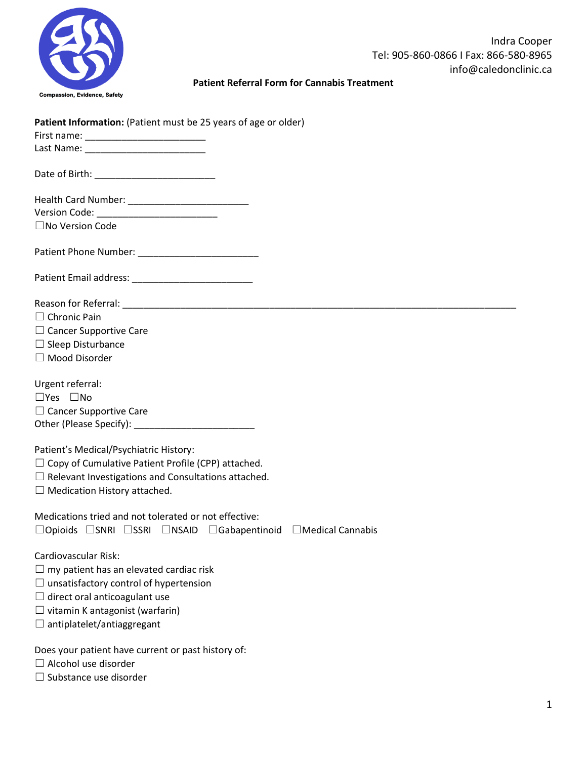

## **Patient Referral Form for Cannabis Treatment**

| Patient Information: (Patient must be 25 years of age or older)                                                                                                                                                                                |
|------------------------------------------------------------------------------------------------------------------------------------------------------------------------------------------------------------------------------------------------|
|                                                                                                                                                                                                                                                |
|                                                                                                                                                                                                                                                |
|                                                                                                                                                                                                                                                |
| $\Box$ No Version Code                                                                                                                                                                                                                         |
|                                                                                                                                                                                                                                                |
|                                                                                                                                                                                                                                                |
|                                                                                                                                                                                                                                                |
| $\Box$ Chronic Pain                                                                                                                                                                                                                            |
| □ Cancer Supportive Care                                                                                                                                                                                                                       |
| $\Box$ Sleep Disturbance                                                                                                                                                                                                                       |
| $\Box$ Mood Disorder                                                                                                                                                                                                                           |
| Urgent referral:                                                                                                                                                                                                                               |
| $\Box$ Yes $\Box$ No                                                                                                                                                                                                                           |
| $\Box$ Cancer Supportive Care                                                                                                                                                                                                                  |
|                                                                                                                                                                                                                                                |
| Patient's Medical/Psychiatric History:<br>$\Box$ Copy of Cumulative Patient Profile (CPP) attached.<br>$\Box$ Relevant Investigations and Consultations attached.<br>$\Box$ Medication History attached.                                       |
| Medications tried and not tolerated or not effective:<br>$\Box$ Opioids $\Box$ SNRI $\Box$ SSRI $\Box$ NSAID $\Box$ Gabapentinoid $\Box$ Medical Cannabis                                                                                      |
| Cardiovascular Risk:<br>$\Box$ my patient has an elevated cardiac risk<br>$\Box$ unsatisfactory control of hypertension<br>$\Box$ direct oral anticoagulant use<br>$\Box$ vitamin K antagonist (warfarin)<br>$\Box$ antiplatelet/antiaggregant |
| Does your patient have current or past history of:<br>$\Box$ Alcohol use disorder<br>$\Box$ Substance use disorder                                                                                                                             |